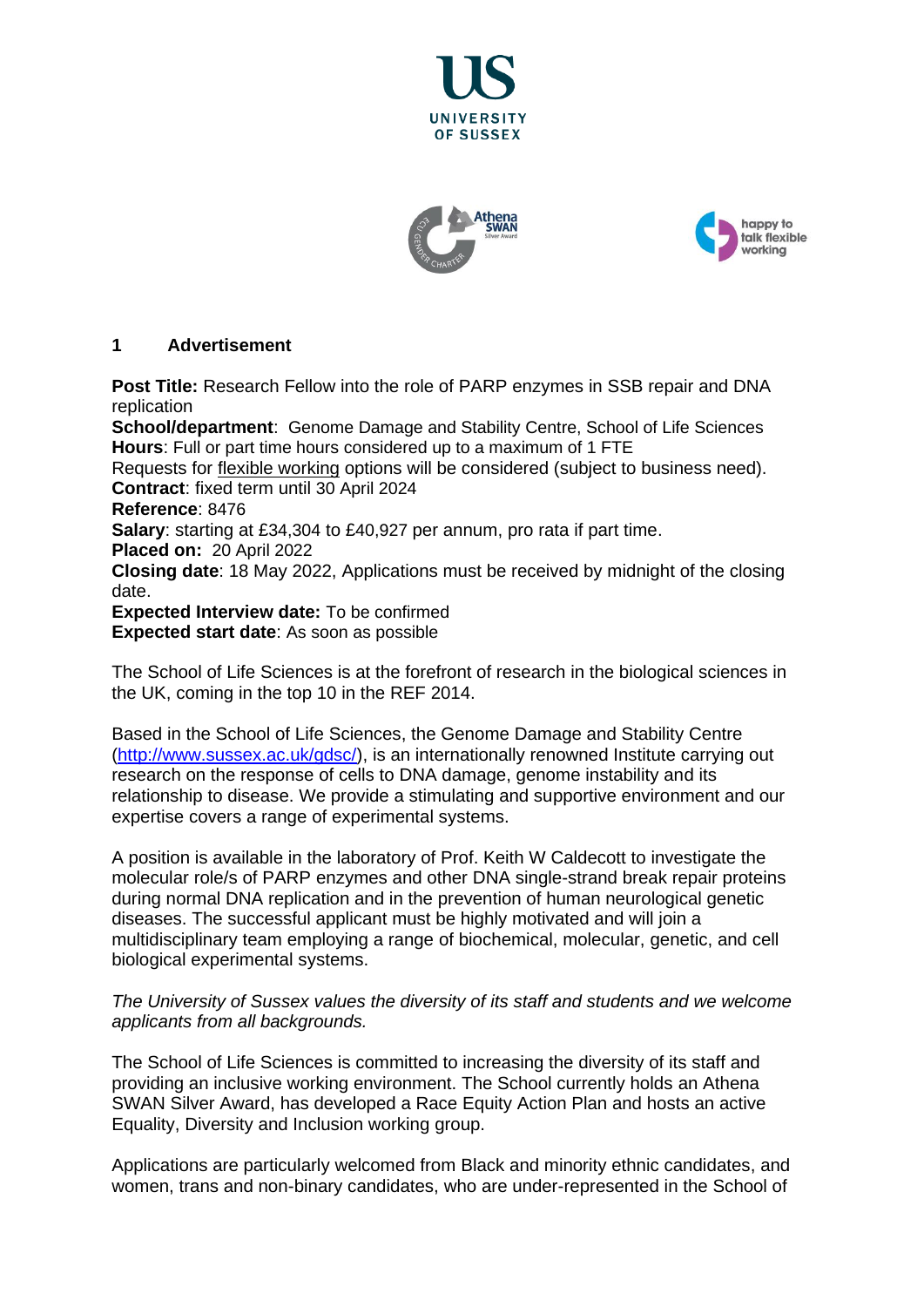





# **1 Advertisement**

**Post Title:** Research Fellow into the role of PARP enzymes in SSB repair and DNA replication

**School/department**: Genome Damage and Stability Centre, School of Life Sciences **Hours**: Full or part time hours considered up to a maximum of 1 FTE

Requests for [flexible working](http://www.sussex.ac.uk/humanresources/personnel/flexible-working) options will be considered (subject to business need). **Contract**: fixed term until 30 April 2024

**Reference**: 8476

**Salary**: starting at £34,304 to £40,927 per annum, pro rata if part time.

**Placed on:** 20 April 2022

**Closing date**: 18 May 2022, Applications must be received by midnight of the closing date.

**Expected Interview date:** To be confirmed

**Expected start date**: As soon as possible

The School of Life Sciences is at the forefront of research in the biological sciences in the UK, coming in the top 10 in the REF 2014.

Based in the School of Life Sciences, the Genome Damage and Stability Centre [\(http://www.sussex.ac.uk/gdsc/\)](http://www.sussex.ac.uk/gdsc/), is an internationally renowned Institute carrying out research on the response of cells to DNA damage, genome instability and its relationship to disease. We provide a stimulating and supportive environment and our expertise covers a range of experimental systems.

A position is available in the laboratory of Prof. Keith W Caldecott to investigate the molecular role/s of PARP enzymes and other DNA single-strand break repair proteins during normal DNA replication and in the prevention of human neurological genetic diseases. The successful applicant must be highly motivated and will join a multidisciplinary team employing a range of biochemical, molecular, genetic, and cell biological experimental systems.

*The University of Sussex values the diversity of its staff and students and we welcome applicants from all backgrounds.*

The School of Life Sciences is committed to increasing the diversity of its staff and providing an inclusive working environment. The School currently holds an Athena SWAN Silver Award, has developed a Race Equity Action Plan and hosts an active Equality, Diversity and Inclusion working group.

Applications are particularly welcomed from Black and minority ethnic candidates, and women, trans and non-binary candidates, who are under-represented in the School of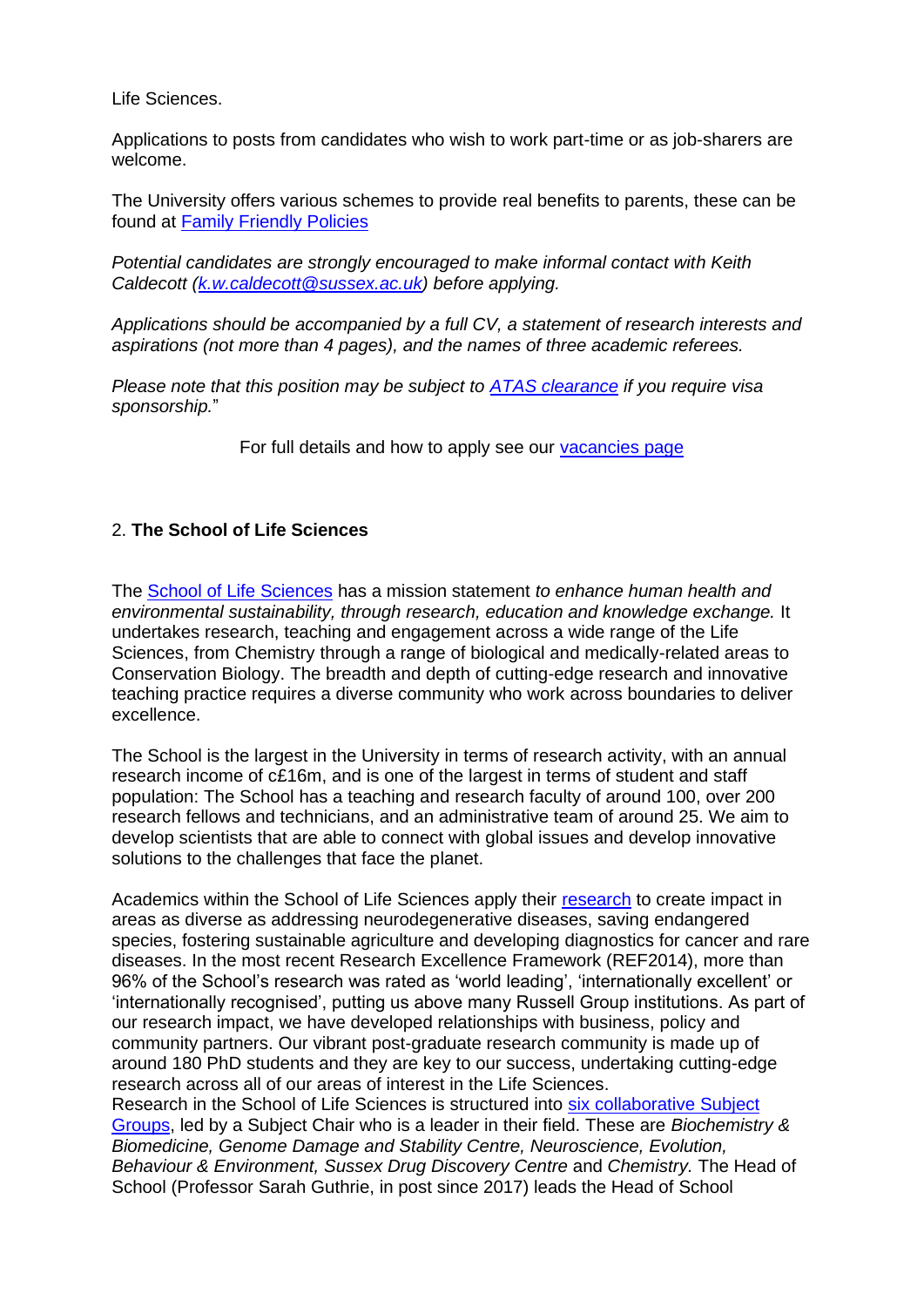Life Sciences.

Applications to posts from candidates who wish to work part-time or as job-sharers are welcome.

The University offers various schemes to provide real benefits to parents, these can be found at [Family Friendly Policies](http://www.sussex.ac.uk/humanresources/personnel/familyfriendlypolicies)

*Potential candidates are strongly encouraged to make informal contact with Keith Caldecott [\(k.w.caldecott@sussex.ac.uk\)](mailto:k.w.caldecott@sussex.ac.uk) before applying.* 

*Applications should be accompanied by a full CV, a statement of research interests and aspirations (not more than 4 pages), and the names of three academic referees.* 

*Please note that this position may be subject to [ATAS clearance](https://www.gov.uk/guidance/academic-technology-approval-scheme) if you require visa sponsorship.*"

For full details and how to apply see our [vacancies page](http://www.sussex.ac.uk/about/jobs)

# 2. **The School of Life Sciences**

The [School of Life Sciences](http://www.sussex.ac.uk/lifesci/) has a mission statement *to enhance human health and environmental sustainability, through research, education and knowledge exchange.* It undertakes research, teaching and engagement across a wide range of the Life Sciences, from Chemistry through a range of biological and medically-related areas to Conservation Biology. The breadth and depth of cutting-edge research and innovative teaching practice requires a diverse community who work across boundaries to deliver excellence.

The School is the largest in the University in terms of research activity, with an annual research income of c£16m, and is one of the largest in terms of student and staff population: The School has a teaching and research faculty of around 100, over 200 research fellows and technicians, and an administrative team of around 25. We aim to develop scientists that are able to connect with global issues and develop innovative solutions to the challenges that face the planet.

Academics within the School of Life Sciences apply their [research](http://www.sussex.ac.uk/lifesci/research) to create impact in areas as diverse as addressing neurodegenerative diseases, saving endangered species, fostering sustainable agriculture and developing diagnostics for cancer and rare diseases. In the most recent Research Excellence Framework (REF2014), more than 96% of the School's research was rated as 'world leading', 'internationally excellent' or 'internationally recognised', putting us above many Russell Group institutions. As part of our research impact, we have developed relationships with business, policy and community partners. Our vibrant post-graduate research community is made up of around 180 PhD students and they are key to our success, undertaking cutting-edge research across all of our areas of interest in the Life Sciences.

Research in the School of Life Sciences is structured into [six collaborative Subject](http://www.sussex.ac.uk/lifesci/)  [Groups,](http://www.sussex.ac.uk/lifesci/) led by a Subject Chair who is a leader in their field. These are *Biochemistry & Biomedicine, Genome Damage and Stability Centre, Neuroscience, Evolution, Behaviour & Environment, Sussex Drug Discovery Centre* and *Chemistry.* The Head of School (Professor Sarah Guthrie, in post since 2017) leads the Head of School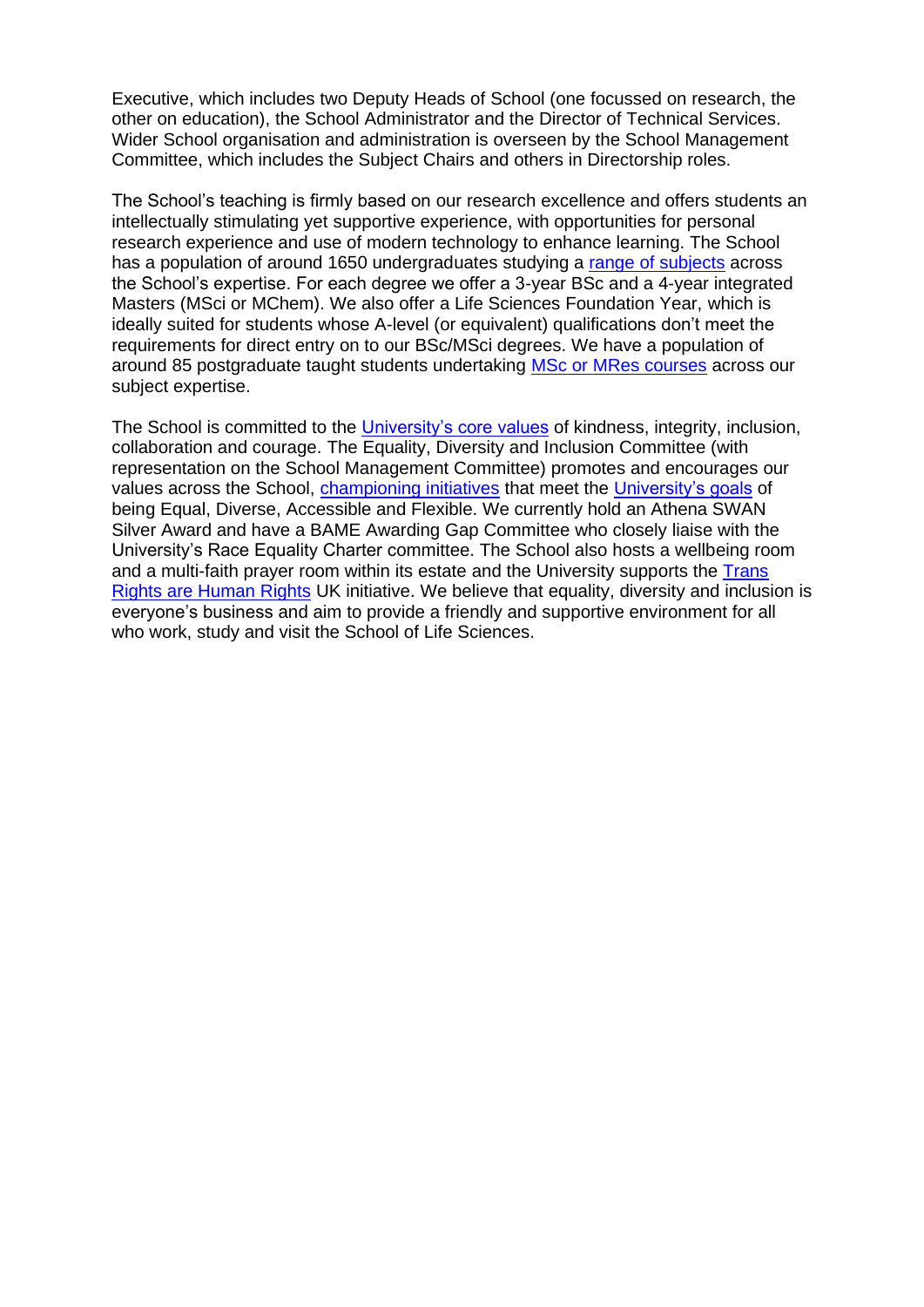Executive, which includes two Deputy Heads of School (one focussed on research, the other on education), the School Administrator and the Director of Technical Services. Wider School organisation and administration is overseen by the School Management Committee, which includes the Subject Chairs and others in Directorship roles.

The School's teaching is firmly based on our research excellence and offers students an intellectually stimulating yet supportive experience, with opportunities for personal research experience and use of modern technology to enhance learning. The School has a population of around 1650 undergraduates studying a [range of subjects](http://www.sussex.ac.uk/lifesci/ugstudy) across the School's expertise. For each degree we offer a 3-year BSc and a 4-year integrated Masters (MSci or MChem). We also offer a Life Sciences Foundation Year, which is ideally suited for students whose A-level (or equivalent) qualifications don't meet the requirements for direct entry on to our BSc/MSci degrees. We have a population of around 85 postgraduate taught students undertaking [MSc or MRes courses](http://www.sussex.ac.uk/lifesci/pgstudy) across our subject expertise.

The School is committed to the [University's core values](https://www.sussex.ac.uk/strategy/) of kindness, integrity, inclusion, collaboration and courage. The Equality, Diversity and Inclusion Committee (with representation on the School Management Committee) promotes and encourages our values across the School, [championing initiatives](http://www.sussex.ac.uk/lifesci/equality-diversity-and-inclusion/) that meet the [University's goals](https://www.sussex.ac.uk/equalities/strategy) of being Equal, Diverse, Accessible and Flexible. We currently hold an Athena SWAN Silver Award and have a BAME Awarding Gap Committee who closely liaise with the University's Race Equality Charter committee. The School also hosts a wellbeing room and a multi-faith prayer room within its estate and the University supports the [Trans](https://www.sussex.ac.uk/news/university?id=52962)  [Rights are Human](https://www.sussex.ac.uk/news/university?id=52962) Rights UK initiative. We believe that equality, diversity and inclusion is everyone's business and aim to provide a friendly and supportive environment for all who work, study and visit the School of Life Sciences.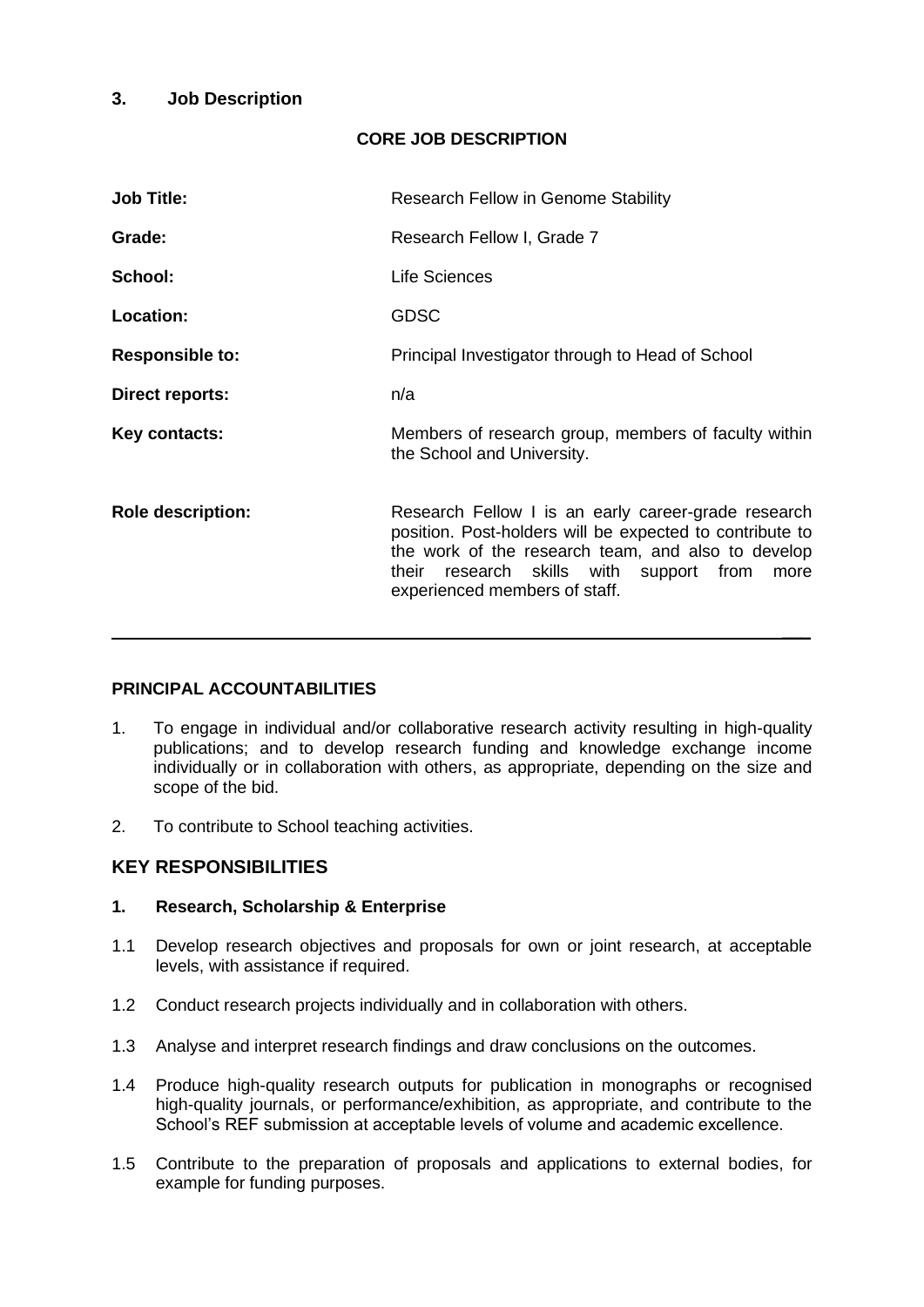## **3. Job Description**

# **CORE JOB DESCRIPTION**

| <b>Job Title:</b>        | <b>Research Fellow in Genome Stability</b>                                                                                                                                                                                                                |
|--------------------------|-----------------------------------------------------------------------------------------------------------------------------------------------------------------------------------------------------------------------------------------------------------|
| Grade:                   | Research Fellow I, Grade 7                                                                                                                                                                                                                                |
| School:                  | Life Sciences                                                                                                                                                                                                                                             |
| <b>Location:</b>         | <b>GDSC</b>                                                                                                                                                                                                                                               |
| <b>Responsible to:</b>   | Principal Investigator through to Head of School                                                                                                                                                                                                          |
| <b>Direct reports:</b>   | n/a                                                                                                                                                                                                                                                       |
| Key contacts:            | Members of research group, members of faculty within<br>the School and University.                                                                                                                                                                        |
| <b>Role description:</b> | Research Fellow I is an early career-grade research<br>position. Post-holders will be expected to contribute to<br>the work of the research team, and also to develop<br>their research skills with support from<br>more<br>experienced members of staff. |

#### **PRINCIPAL ACCOUNTABILITIES**

- 1. To engage in individual and/or collaborative research activity resulting in high-quality publications; and to develop research funding and knowledge exchange income individually or in collaboration with others, as appropriate, depending on the size and scope of the bid.
- 2. To contribute to School teaching activities.

#### **KEY RESPONSIBILITIES**

#### **1. Research, Scholarship & Enterprise**

- 1.1 Develop research objectives and proposals for own or joint research, at acceptable levels, with assistance if required.
- 1.2 Conduct research projects individually and in collaboration with others.
- 1.3 Analyse and interpret research findings and draw conclusions on the outcomes.
- 1.4 Produce high-quality research outputs for publication in monographs or recognised high-quality journals, or performance/exhibition, as appropriate, and contribute to the School's REF submission at acceptable levels of volume and academic excellence.
- 1.5 Contribute to the preparation of proposals and applications to external bodies, for example for funding purposes.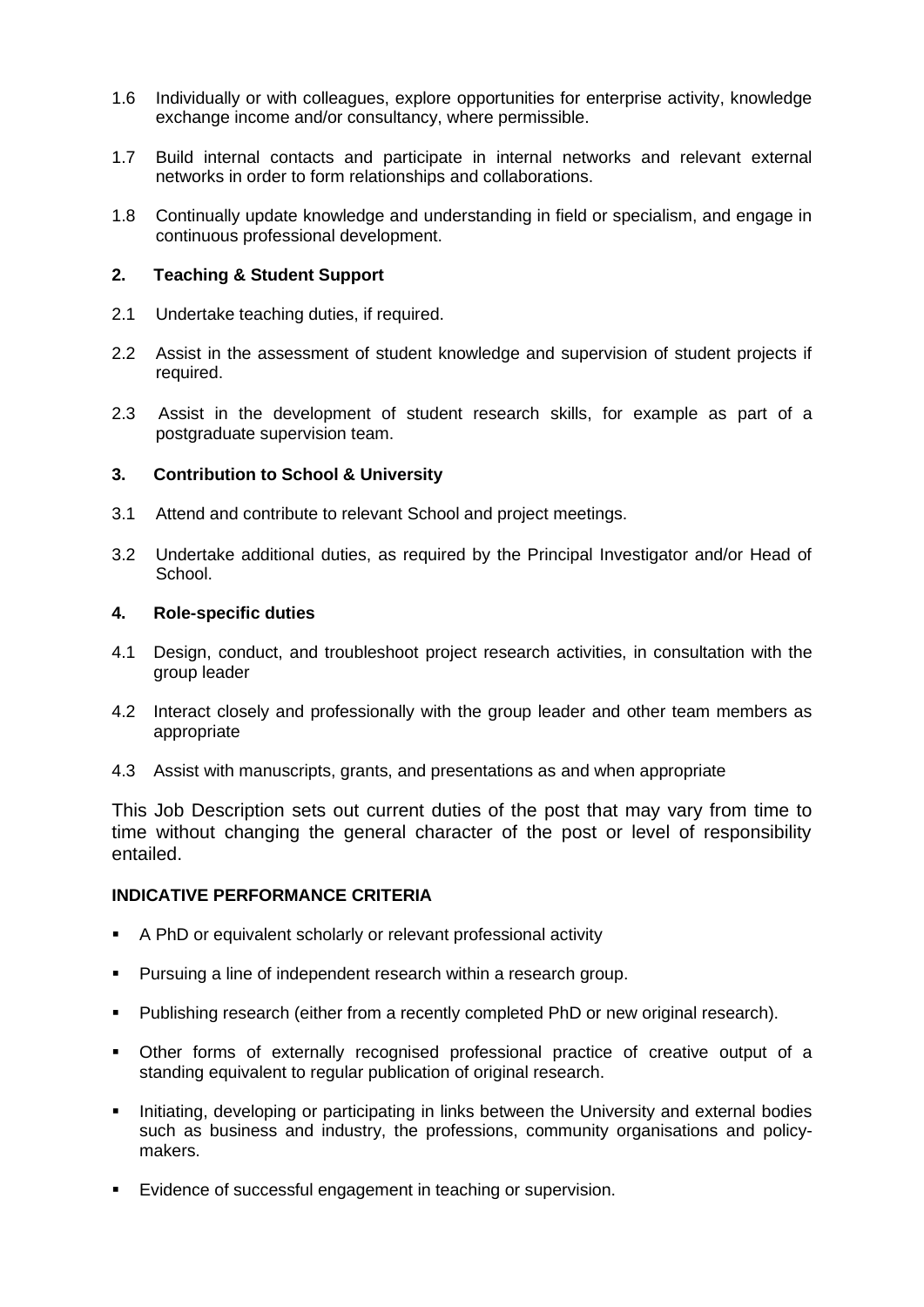- 1.6 Individually or with colleagues, explore opportunities for enterprise activity, knowledge exchange income and/or consultancy, where permissible.
- 1.7 Build internal contacts and participate in internal networks and relevant external networks in order to form relationships and collaborations.
- 1.8 Continually update knowledge and understanding in field or specialism, and engage in continuous professional development.

#### **2. Teaching & Student Support**

- 2.1 Undertake teaching duties, if required.
- 2.2 Assist in the assessment of student knowledge and supervision of student projects if required.
- 2.3 Assist in the development of student research skills, for example as part of a postgraduate supervision team.

#### **3. Contribution to School & University**

- 3.1 Attend and contribute to relevant School and project meetings.
- 3.2 Undertake additional duties, as required by the Principal Investigator and/or Head of School.

#### **4. Role-specific duties**

- 4.1 Design, conduct, and troubleshoot project research activities, in consultation with the group leader
- 4.2 Interact closely and professionally with the group leader and other team members as appropriate
- 4.3 Assist with manuscripts, grants, and presentations as and when appropriate

This Job Description sets out current duties of the post that may vary from time to time without changing the general character of the post or level of responsibility entailed.

#### **INDICATIVE PERFORMANCE CRITERIA**

- A PhD or equivalent scholarly or relevant professional activity
- Pursuing a line of independent research within a research group.
- Publishing research (either from a recently completed PhD or new original research).
- Other forms of externally recognised professional practice of creative output of a standing equivalent to regular publication of original research.
- Initiating, developing or participating in links between the University and external bodies such as business and industry, the professions, community organisations and policymakers.
- Evidence of successful engagement in teaching or supervision.